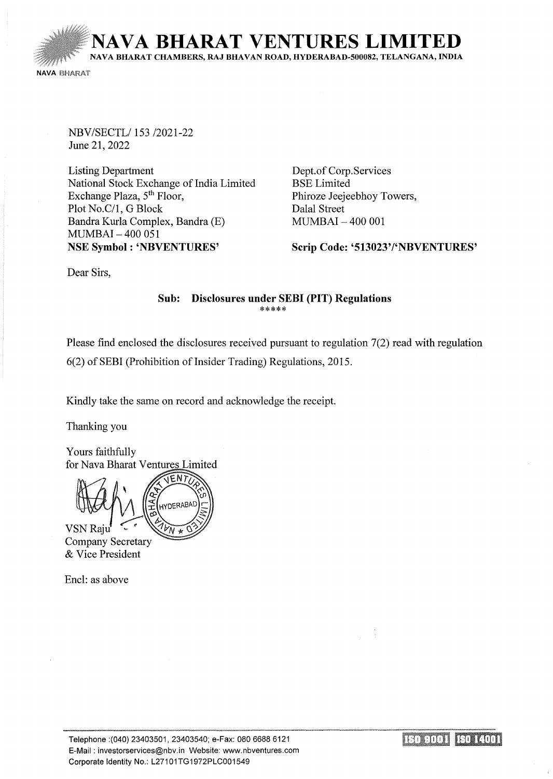**NA VA BHARA T VENTURES LIMITED**  NA VA BHARAT CHAMBERS, RAJ BHA VAN ROAD, HYDERABAD-500082, TELANGANA, INDIA **NAVA BHARAT** 

NBV/SECTL/153 /2021-22 June 21, 2022

Listing Department National Stock Exchange of India Limited Exchange Plaza, 5<sup>th</sup> Floor, Plot No.C/1, G Block Bandra Kurla Complex, Bandra (E) MUMBAI- 400 051 NSE Symbol : 'NBVENTURES'

Dept.of Corp. Services BSE Limited Phiroze Jeejeebhoy Towers, Dalal Street MUMBAI- 400 001

Scrip Code: '513023'/'NBVENTURES'

Dear Sirs,

#### Sub: Disclosures under SEBI (PIT) Regulations \*\*\*\*\*

Please find enclosed the disclosures received pursuant to regulation 7(2) read with regulation 6(2) of SEBI (Prohibition of Insider Trading) Regulations, 2015.

Kindly take the same on record and acknowledge the receipt.

Thanking you

Yours faithfully for Nava Bharat Ventures Limited

ENT **HYDERABAD VSN Raju** 

**Company Secretary** & Vice President

Encl: as above

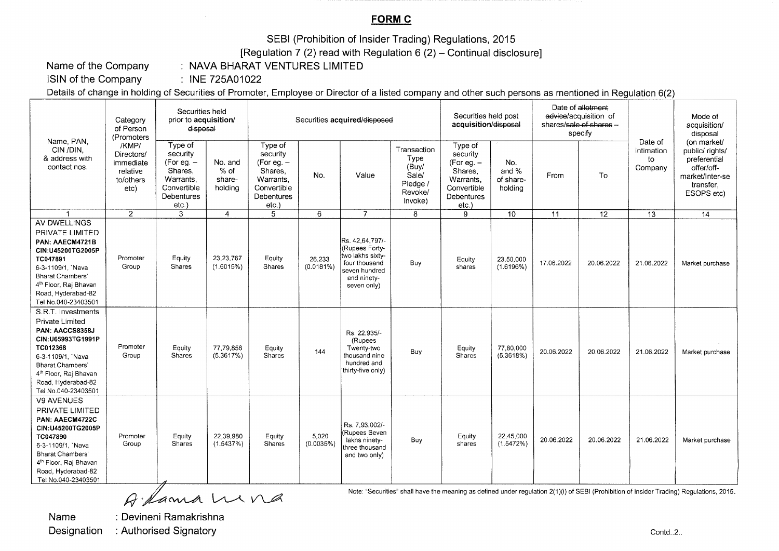### **FORMC**

SEBI (Prohibition of Insider Trading) Regulations, 2015

[Regulation 7 (2) read with Regulation  $6(2)$  – Continual disclosure]

Name of the Company

: NAVA BHARAT VENTURES LIMITED

ISIN of the Company  $\therefore$  INE 725A01022

Details of change in holding of Securities of Promoter, Employee or Director of a listed company and other such persons as mentioned in Regulation 6(2)

| Name, PAN.<br>CIN/DIN.<br>& address with<br>contact nos.                                                                                                                                                                    | Category<br>of Person<br>(Promoters<br>/KMP/<br>Directors/<br>immediate<br>relative<br>to/others<br>etc) | Securities held<br>prior to acquisition/<br>disposal                                           |                                      | Securities acquired/disposed                                                                     |                     |                                                                                                                       |                                                                         | Securities held post<br>acquisition/disposal                                                         |                                      | Date of allotment<br>advice/acquisition of<br>shares/sale of shares -<br>specify |                 |                                        | Mode of<br>acquisition/<br>disposal                                                                        |
|-----------------------------------------------------------------------------------------------------------------------------------------------------------------------------------------------------------------------------|----------------------------------------------------------------------------------------------------------|------------------------------------------------------------------------------------------------|--------------------------------------|--------------------------------------------------------------------------------------------------|---------------------|-----------------------------------------------------------------------------------------------------------------------|-------------------------------------------------------------------------|------------------------------------------------------------------------------------------------------|--------------------------------------|----------------------------------------------------------------------------------|-----------------|----------------------------------------|------------------------------------------------------------------------------------------------------------|
|                                                                                                                                                                                                                             |                                                                                                          | Type of<br>security<br>(For eq. –<br>Shares,<br>Warrants.<br>Convertible<br>Debentures<br>etc. | No. and<br>% of<br>share-<br>holdina | Type of<br>security<br>(For eg. $-$<br>Shares.<br>Warrants.<br>Convertible<br>Debentures<br>etc. | No.                 | Value                                                                                                                 | Transaction<br>Type<br>(Buy/<br>Sale/<br>Pledge /<br>Revoke/<br>Invoke) | Type of<br>security<br>(For eg. $-$<br>Shares.<br>Warrants.<br>Convertible<br>Debentures<br>$etc.$ ) | No.<br>and %<br>of share-<br>holdina | From                                                                             | To              | Date of<br>intimation<br>to<br>Company | (on market/<br>public/ rights/<br>preferential<br>offer/off-<br>market/Inter-se<br>transfer,<br>ESOPS etc) |
|                                                                                                                                                                                                                             | $\overline{2}$                                                                                           | 3                                                                                              | 4                                    | 5                                                                                                | 6                   | $\overline{7}$                                                                                                        | 8                                                                       | 9                                                                                                    | 10                                   | 11                                                                               | $\overline{12}$ | $\overline{13}$                        | $\overline{14}$                                                                                            |
| AV DWELLINGS<br>PRIVATE LIMITED<br>PAN: AAECM4721B<br>CIN:U45200TG2005P<br>TC047891<br>6-3-1109/1, `Nava<br><b>Bharat Chambers'</b><br>4 <sup>th</sup> Floor, Raj Bhavan<br>Road, Hyderabad-82<br>Tel No.040-23403501       | Promoter<br>Group                                                                                        | Equity<br>Shares                                                                               | 23, 23, 767<br>(1.6015%)             | Equity<br><b>Shares</b>                                                                          | 26,233<br>(0.0181%) | Rs. 42.64.797/-<br>(Rupees Forty-<br>two lakhs sixty-<br>four thousand<br>seven hundred<br>and ninety-<br>seven only) | Buy                                                                     | Equity<br>shares                                                                                     | 23,50,000<br>(1.6196%)               | 17.06.2022                                                                       | 20.06.2022      | 21.06.2022                             | Market purchase                                                                                            |
| S.R.T. Investments<br>Private Limited<br>PAN: AACCS8358J<br>CIN:U65993TG1991P<br>TC012368<br>6-3-1109/1, 'Nava<br><b>Bharat Chambers'</b><br>4 <sup>th</sup> Floor, Raj Bhavan<br>Road, Hyderabad-82<br>Tel No.040-23403501 | Promoter<br>Group                                                                                        | Equity<br>Shares                                                                               | 77,79,856<br>(5.3617%)               | Equity<br><b>Shares</b>                                                                          | 144                 | Rs. 22.935/-<br>(Rupees<br>Twenty-two<br>thousand nine<br>hundred and<br>thirty-five only)                            | Buy                                                                     | Equity<br>Shares                                                                                     | 77,80,000<br>(5.3618%)               | 20.06.2022                                                                       | 20.06.2022      | 21.06.2022                             | Market purchase                                                                                            |
| V9 AVENUES<br>PRIVATE LIMITED<br>PAN: AAECM4722C<br>CIN:U45200TG2005P<br>TC047890<br>6-3-1109/1, `Nava<br><b>Bharat Chambers'</b><br>4 <sup>th</sup> Floor, Raj Bhavan<br>Road, Hyderabad-82<br>Tel No.040-23403501         | Promoter<br>Group                                                                                        | Equity<br>Shares                                                                               | 22,39,980<br>(1.5437%)               | Equity<br>Shares                                                                                 | 5,020<br>(0.0035%)  | Rs. 7.93.002/-<br>(Rupees Seven<br>lakhs ninety-<br>three thousand<br>and two only)                                   | Buy                                                                     | Equity<br>shares                                                                                     | 22,45,000<br>(1.5472%)               | 20.06.2022                                                                       | 20.06.2022      | 21.06.2022                             | Market purchase                                                                                            |

A lama wina

Name

: Devineni Ramakrishna

**Designation** : Authorised Signatory Note: "Securities" shall have the meaning as defined under regulation 2(1)(i) of SEBI (Prohibition of Insider Trading) Regulations, 2015.

Contd..2..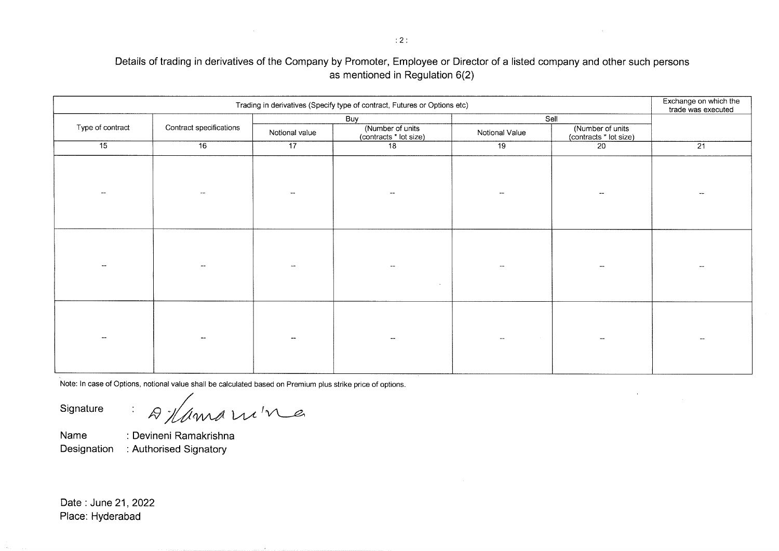### **Details of trading in derivatives of the Company by Promoter, Employee or Director of a listed company and other such persons as mentioned in Regulation 6(2)**

| Trading in derivatives (Specify type of contract, Futures or Options etc) |                 |                         |                        |                          |                                                    |  |  |  |  |
|---------------------------------------------------------------------------|-----------------|-------------------------|------------------------|--------------------------|----------------------------------------------------|--|--|--|--|
| Contract specifications                                                   | Notional value  | Buy<br>(Number of units | Notional Value         |                          |                                                    |  |  |  |  |
| 16                                                                        | $\overline{17}$ | 18                      | $\overline{19}$        | $\overline{20}$          | $\overline{21}$                                    |  |  |  |  |
|                                                                           |                 |                         |                        |                          |                                                    |  |  |  |  |
|                                                                           |                 |                         |                        |                          |                                                    |  |  |  |  |
|                                                                           | $\sim$ $\sim$   |                         |                        | --                       |                                                    |  |  |  |  |
|                                                                           |                 |                         |                        | $\overline{\phantom{a}}$ |                                                    |  |  |  |  |
|                                                                           |                 |                         | (contracts * lot size) |                          | Sell<br>(Number of units<br>(contracts * lot size) |  |  |  |  |

Note: In case of Options, notional value shall be calculated based on Premium plus strike price of options.

Signature : A /ama w<sup>ine</sup>

**Name : Devineni Ramakrishna Designation : Authorised Signatory** 

**Date: June 21, 2022 Place: Hyderabad**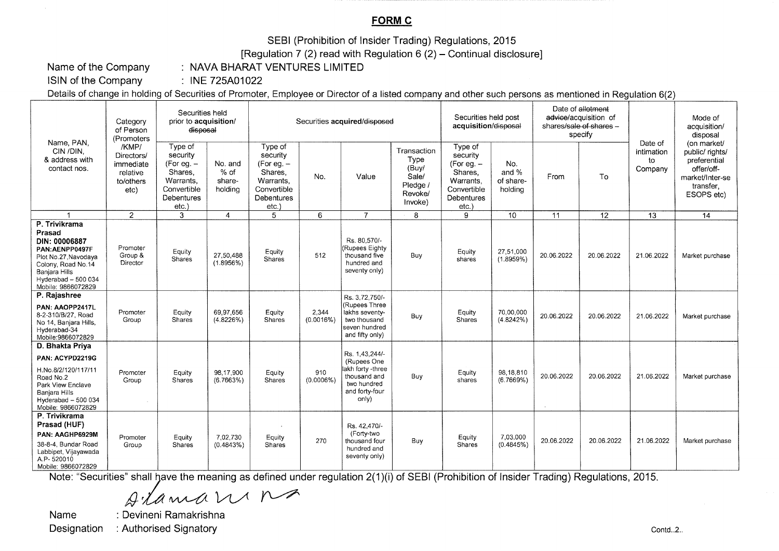# **FORMC**

SEBI (Prohibition of Insider Trading) Regulations, 2015

[Regulation 7 (2) read with Regulation  $6(2)$  – Continual disclosure]

Name of the Company

: NAVA BHARAT VENTURES LIMITED

I SIN of the Company : INE 725A01022

Details of change in holding of Securities of Promoter, Employee or Director of a listed company and other such persons as mentioned in Regulation 6(2)

| Name, PAN.<br>CIN /DIN.<br>& address with<br>contact nos.                                                                                                              | Category<br>of Person<br>(Promoters)<br>/KMP/<br>Directors/<br>immediate<br>relative<br>to/others<br>etc) | Securities held<br>prior to acquisition/<br>disposal                                                    |                                      | Securities acquired/disposed                                                                     |                    |                                                                                                              |                                                                         | Securities held post<br>acquisition/disposal                                                          |                                      | Date of allotment<br>advice/acquisition of<br>shares/sale of shares -<br>specify |                 |                                        | Mode of<br>acquisition/<br>disposal                                                                        |
|------------------------------------------------------------------------------------------------------------------------------------------------------------------------|-----------------------------------------------------------------------------------------------------------|---------------------------------------------------------------------------------------------------------|--------------------------------------|--------------------------------------------------------------------------------------------------|--------------------|--------------------------------------------------------------------------------------------------------------|-------------------------------------------------------------------------|-------------------------------------------------------------------------------------------------------|--------------------------------------|----------------------------------------------------------------------------------|-----------------|----------------------------------------|------------------------------------------------------------------------------------------------------------|
|                                                                                                                                                                        |                                                                                                           | Type of<br>security<br>(For eg. $-$<br>Shares.<br>Warrants,<br>Convertible<br><b>Debentures</b><br>etc. | No. and<br>% of<br>share-<br>holding | Type of<br>security<br>(For eg. $-$<br>Shares,<br>Warrants.<br>Convertible<br>Debentures<br>etc. | No.                | Value                                                                                                        | Transaction<br>Type<br>(Buv/<br>Sale/<br>Pledge /<br>Revoke/<br>Invoke) | Type of<br>security<br>(For eq. –<br>Shares,<br>Warrants.<br>Convertible<br><b>Debentures</b><br>etc. | No.<br>and %<br>of share-<br>holding | From                                                                             | To              | Date of<br>intimation<br>to<br>Company | (on market/<br>public/ rights/<br>preferential<br>offer/off-<br>market/Inter-se<br>transfer,<br>ESOPS etc) |
|                                                                                                                                                                        | $\overline{2}$                                                                                            | 3                                                                                                       | $\overline{4}$                       | 5                                                                                                | 6                  | $\overline{7}$                                                                                               | 8                                                                       | 9                                                                                                     | 10                                   | $\overline{11}$                                                                  | $\overline{12}$ | 13                                     | $\overline{14}$                                                                                            |
| P. Trivikrama<br>Prasad<br>DIN: 00006887<br>PAN:AENPP0497F<br>Plot No.27, Navodaya<br>Colony, Road No.14<br>Banjara Hills<br>Hyderabad - 500 034<br>Mobile: 9866072829 | Promoter<br>Group &<br>Director                                                                           | Equity<br><b>Shares</b>                                                                                 | 27,50,488<br>(1.8956%)               | Equity<br>Shares                                                                                 | 512                | Rs. 80.570/-<br>(Rupees Eighty<br>thousand five<br>hundred and<br>seventy only)                              | Buy                                                                     | Equity<br>shares                                                                                      | 27,51,000<br>$(1.8959\%)$            | 20.06.2022                                                                       | 20.06.2022      | 21.06.2022                             | Market purchase                                                                                            |
| P. Rajashree<br>PAN: AAOPP2417L<br>8-2-310/B/27. Road<br>No 14, Baniara Hills,<br>Hyderabad-34<br>Mobile: 9866072829                                                   | Promoter<br>Group                                                                                         | Equity<br>Shares                                                                                        | 69.97.656<br>(4.8226%)               | Equity<br>Shares                                                                                 | 2.344<br>(0.0016%) | Rs. 3.72.750/-<br>(Rupees Three<br>lakhs seventy-<br>two thousand<br>seven hundred<br>and fifty only)        | Buy                                                                     | Equity<br><b>Shares</b>                                                                               | 70,00,000<br>(4.8242%)               | 20.06.2022                                                                       | 20.06.2022      | 21.06.2022                             | Market purchase                                                                                            |
| D. Bhakta Priya<br>PAN: ACYPD2219G<br>H.No.8/2/120/117/11<br>Road No.2<br>Park View Enclave<br>Banjara Hills<br>Hyderabad - 500 034<br>Mobile: 9866072829              | Promoter<br>Group                                                                                         | Equity<br>Shares                                                                                        | 98,17,900<br>(6.7663%)               | Equity<br><b>Shares</b>                                                                          | 910<br>(0.0006%)   | Rs. 1,43,244/-<br>(Rupees One<br>lakh forty -three<br>thousand and<br>two hundred<br>and forty-four<br>only) | Buy                                                                     | Equity<br>shares                                                                                      | 98,18,810<br>(6.7669%)               | 20.06.2022                                                                       | 20.06.2022      | 21.06.2022                             | Market purchase                                                                                            |
| P. Trivikrama<br>Prasad (HUF)<br>PAN: AAGHP6929M<br>38-8-4, Bundar Road<br>Labbipet, Vijayawada<br>A.P-520010<br>Mobile: 9866072829                                    | Promoter<br>Group                                                                                         | Equity<br><b>Shares</b>                                                                                 | 7.02.730<br>(0.4843%)                | Equity<br>Shares                                                                                 | 270                | Rs. 42,470/-<br>(Forty-two<br>thousand four<br>hundred and<br>seventy only)                                  | Buv                                                                     | Equity<br>Shares                                                                                      | 7,03,000<br>(0.4845%)                | 20.06.2022                                                                       | 20.06.2022      | 21.06.2022                             | Market purchase                                                                                            |

Note: "Securities" shall have the meaning as defined under regulation 2(1)(i) of SEBI (Prohibition of Insider Trading) Regulations, 2015.

*I)* .fA~ VL/( ~

Name : Devineni Ramakrishna Designation : Authorised Signatory Contd..2.